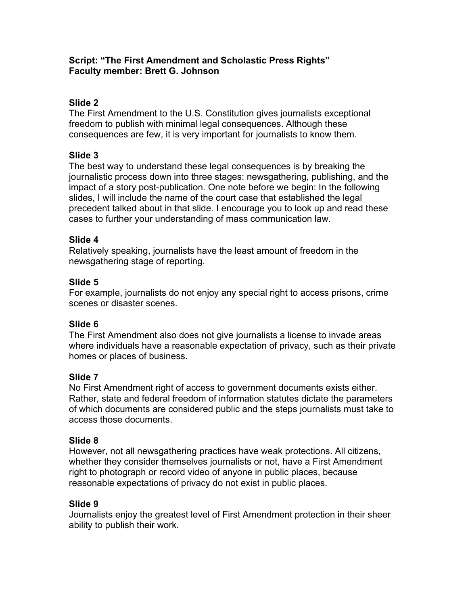#### **Script: "The First Amendment and Scholastic Press Rights" Faculty member: Brett G. Johnson**

# **Slide 2**

The First Amendment to the U.S. Constitution gives journalists exceptional freedom to publish with minimal legal consequences. Although these consequences are few, it is very important for journalists to know them.

## **Slide 3**

The best way to understand these legal consequences is by breaking the journalistic process down into three stages: newsgathering, publishing, and the impact of a story post-publication. One note before we begin: In the following slides, I will include the name of the court case that established the legal precedent talked about in that slide. I encourage you to look up and read these cases to further your understanding of mass communication law.

## **Slide 4**

Relatively speaking, journalists have the least amount of freedom in the newsgathering stage of reporting.

## **Slide 5**

For example, journalists do not enjoy any special right to access prisons, crime scenes or disaster scenes.

# **Slide 6**

The First Amendment also does not give journalists a license to invade areas where individuals have a reasonable expectation of privacy, such as their private homes or places of business.

## **Slide 7**

No First Amendment right of access to government documents exists either. Rather, state and federal freedom of information statutes dictate the parameters of which documents are considered public and the steps journalists must take to access those documents.

## **Slide 8**

However, not all newsgathering practices have weak protections. All citizens, whether they consider themselves journalists or not, have a First Amendment right to photograph or record video of anyone in public places, because reasonable expectations of privacy do not exist in public places.

## **Slide 9**

Journalists enjoy the greatest level of First Amendment protection in their sheer ability to publish their work.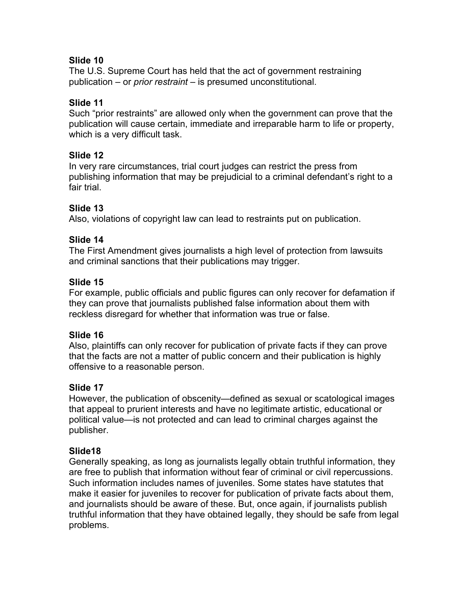## **Slide 10**

The U.S. Supreme Court has held that the act of government restraining publication – or *prior restraint* – is presumed unconstitutional.

### **Slide 11**

Such "prior restraints" are allowed only when the government can prove that the publication will cause certain, immediate and irreparable harm to life or property, which is a very difficult task.

#### **Slide 12**

In very rare circumstances, trial court judges can restrict the press from publishing information that may be prejudicial to a criminal defendant's right to a fair trial.

## **Slide 13**

Also, violations of copyright law can lead to restraints put on publication.

#### **Slide 14**

The First Amendment gives journalists a high level of protection from lawsuits and criminal sanctions that their publications may trigger.

#### **Slide 15**

For example, public officials and public figures can only recover for defamation if they can prove that journalists published false information about them with reckless disregard for whether that information was true or false.

## **Slide 16**

Also, plaintiffs can only recover for publication of private facts if they can prove that the facts are not a matter of public concern and their publication is highly offensive to a reasonable person.

## **Slide 17**

However, the publication of obscenity—defined as sexual or scatological images that appeal to prurient interests and have no legitimate artistic, educational or political value—is not protected and can lead to criminal charges against the publisher.

## **Slide18**

Generally speaking, as long as journalists legally obtain truthful information, they are free to publish that information without fear of criminal or civil repercussions. Such information includes names of juveniles. Some states have statutes that make it easier for juveniles to recover for publication of private facts about them, and journalists should be aware of these. But, once again, if journalists publish truthful information that they have obtained legally, they should be safe from legal problems.